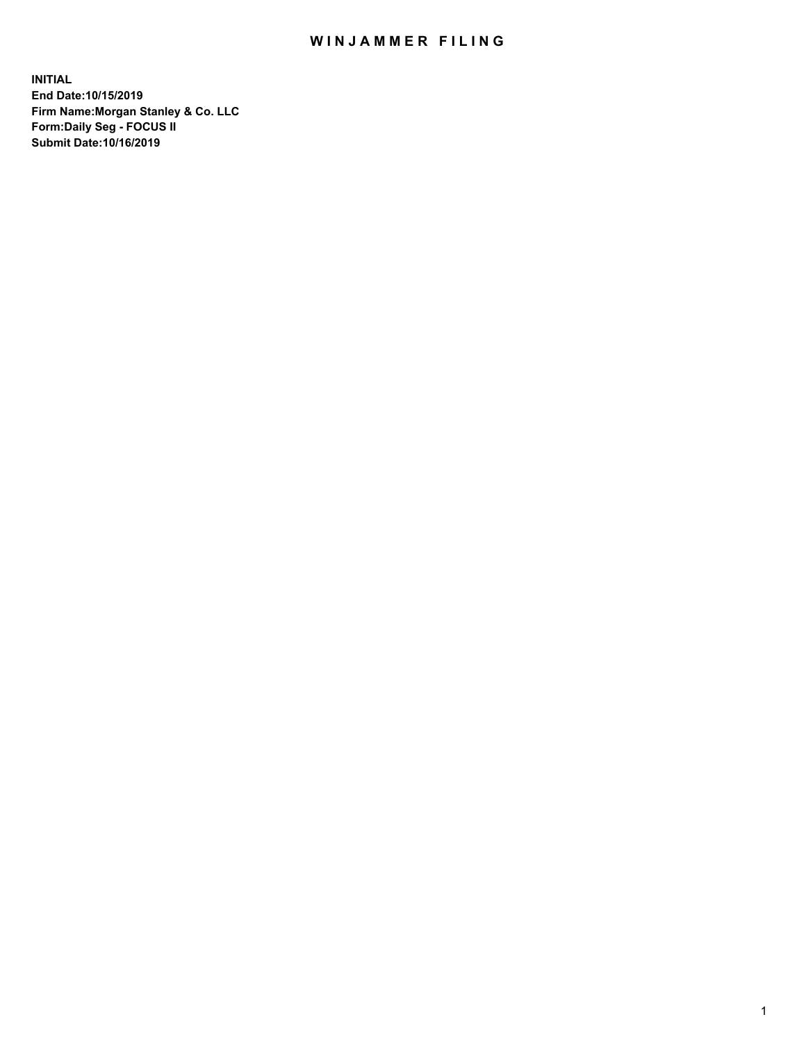## WIN JAMMER FILING

**INITIAL End Date:10/15/2019 Firm Name:Morgan Stanley & Co. LLC Form:Daily Seg - FOCUS II Submit Date:10/16/2019**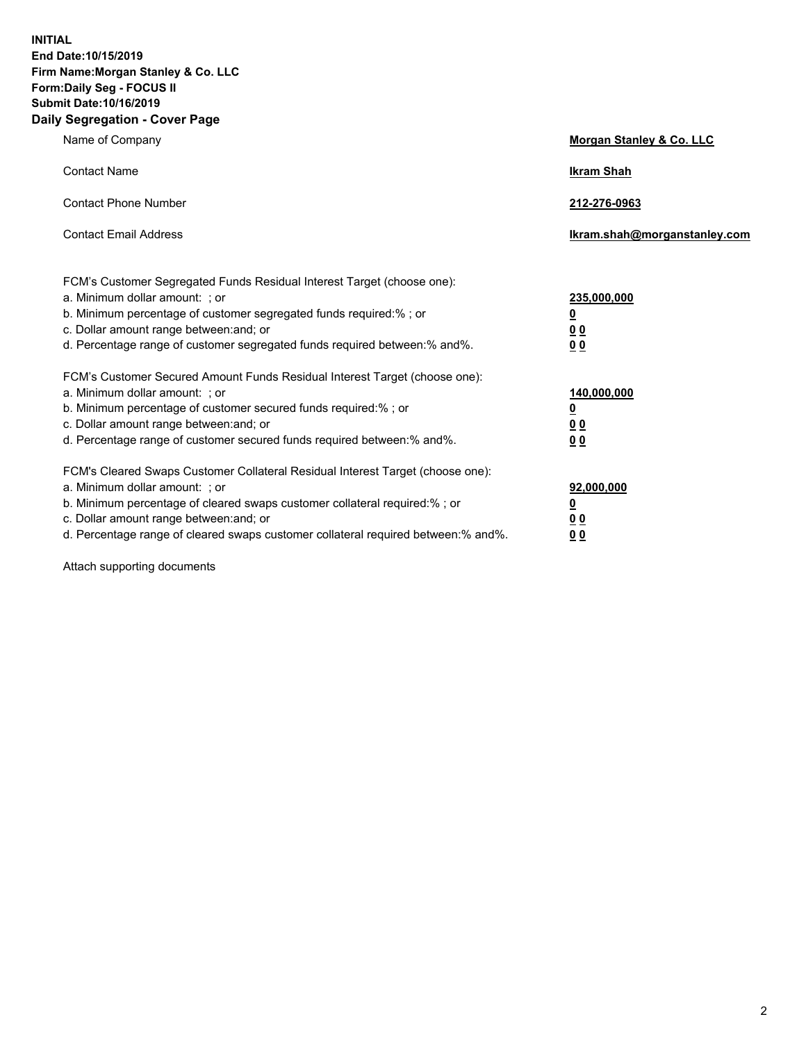**INITIAL End Date:10/15/2019 Firm Name:Morgan Stanley & Co. LLC Form:Daily Seg - FOCUS II Submit Date:10/16/2019 Daily Segregation - Cover Page**

| Name of Company                                                                                                                                                                                                                                                                                                                | Morgan Stanley & Co. LLC                               |
|--------------------------------------------------------------------------------------------------------------------------------------------------------------------------------------------------------------------------------------------------------------------------------------------------------------------------------|--------------------------------------------------------|
| <b>Contact Name</b>                                                                                                                                                                                                                                                                                                            | <b>Ikram Shah</b>                                      |
| <b>Contact Phone Number</b>                                                                                                                                                                                                                                                                                                    | 212-276-0963                                           |
| <b>Contact Email Address</b>                                                                                                                                                                                                                                                                                                   | Ikram.shah@morganstanley.com                           |
| FCM's Customer Segregated Funds Residual Interest Target (choose one):<br>a. Minimum dollar amount: : or<br>b. Minimum percentage of customer segregated funds required:% ; or<br>c. Dollar amount range between: and; or<br>d. Percentage range of customer segregated funds required between:% and%.                         | 235,000,000<br><u>0</u><br>0 <sub>0</sub><br><u>00</u> |
| FCM's Customer Secured Amount Funds Residual Interest Target (choose one):<br>a. Minimum dollar amount: ; or<br>b. Minimum percentage of customer secured funds required:% ; or<br>c. Dollar amount range between: and; or<br>d. Percentage range of customer secured funds required between:% and%.                           | 140,000,000<br><u>0</u><br><u>00</u><br>0 <sub>0</sub> |
| FCM's Cleared Swaps Customer Collateral Residual Interest Target (choose one):<br>a. Minimum dollar amount: ; or<br>b. Minimum percentage of cleared swaps customer collateral required:% ; or<br>c. Dollar amount range between: and; or<br>d. Percentage range of cleared swaps customer collateral required between:% and%. | 92,000,000<br><u>0</u><br><u>00</u><br>0 <sub>0</sub>  |

Attach supporting documents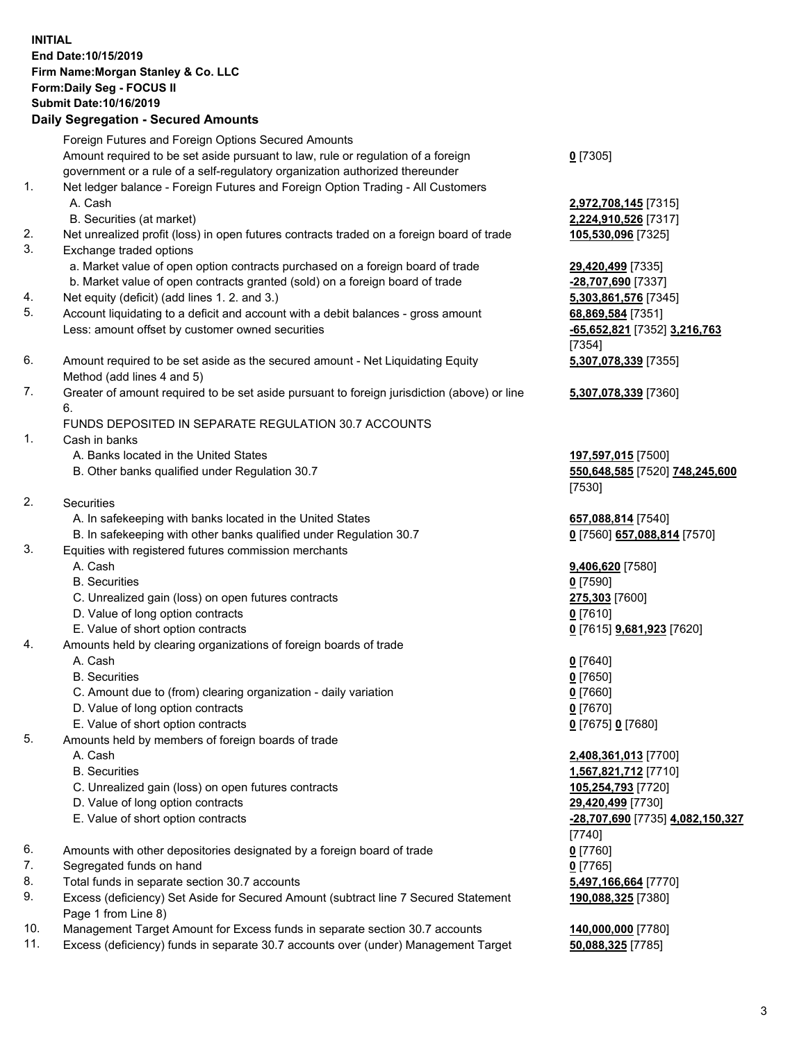## **INITIAL End Date:10/15/2019 Firm Name:Morgan Stanley & Co. LLC Form:Daily Seg - FOCUS II Submit Date:10/16/2019**

## **Daily Segregation - Secured Amounts**

Foreign Futures and Foreign Options Secured Amounts Amount required to be set aside pursuant to law, rule or regulation of a foreign government or a rule of a self-regulatory organization authorized thereunder 1. Net ledger balance - Foreign Futures and Foreign Option Trading - All Customers A. Cash **2,972,708,145** [7315] B. Securities (at market) **2,224,910,526** [7317] 2. Net unrealized profit (loss) in open futures contracts traded on a foreign board of trade **105,530,096** [7325] 3. Exchange traded options a. Market value of open option contracts purchased on a foreign board of trade **29,420,499** [7335] b. Market value of open contracts granted (sold) on a foreign board of trade **-28,707,690** [7337] 4. Net equity (deficit) (add lines 1. 2. and 3.) **5,303,861,576** [7345] 5. Account liquidating to a deficit and account with a debit balances - gross amount **68,869,584** [7351] Less: amount offset by customer owned securities **-65,652,821** [7352] **3,216,763** 6. Amount required to be set aside as the secured amount - Net Liquidating Equity Method (add lines 4 and 5) 7. Greater of amount required to be set aside pursuant to foreign jurisdiction (above) or line 6. FUNDS DEPOSITED IN SEPARATE REGULATION 30.7 ACCOUNTS 1. Cash in banks A. Banks located in the United States **197,597,015** [7500] B. Other banks qualified under Regulation 30.7 **550,648,585** [7520] **748,245,600** 2. Securities A. In safekeeping with banks located in the United States **657,088,814** [7540] B. In safekeeping with other banks qualified under Regulation 30.7 **0** [7560] **657,088,814** [7570] 3. Equities with registered futures commission merchants A. Cash **9,406,620** [7580] B. Securities **0** [7590] C. Unrealized gain (loss) on open futures contracts **275,303** [7600] D. Value of long option contracts **0** [7610] E. Value of short option contracts **0** [7615] **9,681,923** [7620] 4. Amounts held by clearing organizations of foreign boards of trade A. Cash **0** [7640] B. Securities **0** [7650] C. Amount due to (from) clearing organization - daily variation **0** [7660] D. Value of long option contracts **0** [7670] E. Value of short option contracts **0** [7675] **0** [7680] 5. Amounts held by members of foreign boards of trade A. Cash **2,408,361,013** [7700] B. Securities **1,567,821,712** [7710] C. Unrealized gain (loss) on open futures contracts **105,254,793** [7720]

- D. Value of long option contracts **29,420,499** [7730]
- 
- 6. Amounts with other depositories designated by a foreign board of trade **0** [7760]
- 7. Segregated funds on hand **0** [7765]
- 8. Total funds in separate section 30.7 accounts **5,497,166,664** [7770]
- 9. Excess (deficiency) Set Aside for Secured Amount (subtract line 7 Secured Statement Page 1 from Line 8)
- 10. Management Target Amount for Excess funds in separate section 30.7 accounts **140,000,000** [7780]
- 11. Excess (deficiency) funds in separate 30.7 accounts over (under) Management Target **50,088,325** [7785]

**0** [7305]

[7354] **5,307,078,339** [7355]

**5,307,078,339** [7360]

[7530]

 E. Value of short option contracts **-28,707,690** [7735] **4,082,150,327** [7740] **190,088,325** [7380]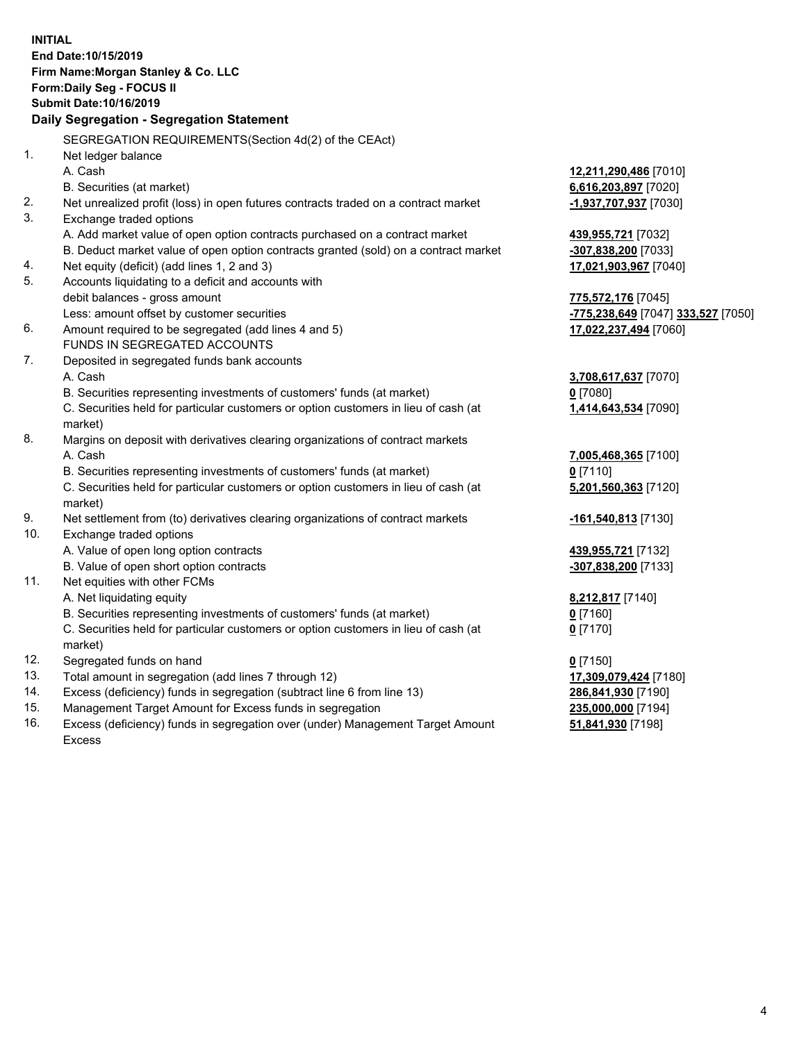|     | <b>INITIAL</b><br>End Date: 10/15/2019<br>Firm Name: Morgan Stanley & Co. LLC<br>Form: Daily Seg - FOCUS II<br><b>Submit Date: 10/16/2019</b><br>Daily Segregation - Segregation Statement |                                                  |
|-----|--------------------------------------------------------------------------------------------------------------------------------------------------------------------------------------------|--------------------------------------------------|
|     | SEGREGATION REQUIREMENTS (Section 4d(2) of the CEAct)                                                                                                                                      |                                                  |
| 1.  |                                                                                                                                                                                            |                                                  |
|     | Net ledger balance<br>A. Cash                                                                                                                                                              | <u>12,211,290,486</u> [7010]                     |
|     | B. Securities (at market)                                                                                                                                                                  | 6,616,203,897 [7020]                             |
| 2.  | Net unrealized profit (loss) in open futures contracts traded on a contract market                                                                                                         | -1,937,707,937 [7030]                            |
| 3.  | Exchange traded options                                                                                                                                                                    |                                                  |
|     | A. Add market value of open option contracts purchased on a contract market                                                                                                                |                                                  |
|     | B. Deduct market value of open option contracts granted (sold) on a contract market                                                                                                        | <u>439,955,721</u> [7032]<br>-307,838,200 [7033] |
| 4.  | Net equity (deficit) (add lines 1, 2 and 3)                                                                                                                                                | 17,021,903,967 [7040]                            |
| 5.  | Accounts liquidating to a deficit and accounts with                                                                                                                                        |                                                  |
|     | debit balances - gross amount                                                                                                                                                              | <u>775,572,176</u> [7045]                        |
|     | Less: amount offset by customer securities                                                                                                                                                 | -775,238,649 [7047] 333,527 [7050]               |
| 6.  | Amount required to be segregated (add lines 4 and 5)                                                                                                                                       | 17,022,237,494 [7060]                            |
|     | FUNDS IN SEGREGATED ACCOUNTS                                                                                                                                                               |                                                  |
| 7.  | Deposited in segregated funds bank accounts                                                                                                                                                |                                                  |
|     | A. Cash                                                                                                                                                                                    | <u>3,708,617,637</u> [7070]                      |
|     | B. Securities representing investments of customers' funds (at market)                                                                                                                     | 0 [7080]                                         |
|     | C. Securities held for particular customers or option customers in lieu of cash (at                                                                                                        | 1,414,643,534 [7090]                             |
|     | market)                                                                                                                                                                                    |                                                  |
| 8.  | Margins on deposit with derivatives clearing organizations of contract markets                                                                                                             |                                                  |
|     | A. Cash                                                                                                                                                                                    | 7,005,468,365 [7100]                             |
|     | B. Securities representing investments of customers' funds (at market)                                                                                                                     | $0$ [7110]                                       |
|     | C. Securities held for particular customers or option customers in lieu of cash (at                                                                                                        | 5,201,560,363 [7120]                             |
|     | market)                                                                                                                                                                                    |                                                  |
| 9.  | Net settlement from (to) derivatives clearing organizations of contract markets                                                                                                            | -161,540,813 [7130]                              |
| 10. | Exchange traded options                                                                                                                                                                    |                                                  |
|     | A. Value of open long option contracts                                                                                                                                                     | 439,955,721 [7132]                               |
|     | B. Value of open short option contracts                                                                                                                                                    | -307,838,200 [7133]                              |
| 11. | Net equities with other FCMs                                                                                                                                                               |                                                  |
|     | A. Net liquidating equity                                                                                                                                                                  | <u>8,212,817</u> [7140]                          |
|     | B. Securities representing investments of customers' funds (at market)                                                                                                                     | $0$ [7160]                                       |
|     | C. Securities held for particular customers or option customers in lieu of cash (at                                                                                                        | $0$ [7170]                                       |
|     | market)                                                                                                                                                                                    |                                                  |
| 12. | Segregated funds on hand                                                                                                                                                                   | $0$ [7150]                                       |
| 13. | Total amount in segregation (add lines 7 through 12)                                                                                                                                       | 17,309,079,424 [7180]                            |
| 14. | Excess (deficiency) funds in segregation (subtract line 6 from line 13)                                                                                                                    | 286,841,930 [7190]                               |
| 15. | Management Target Amount for Excess funds in segregation                                                                                                                                   | 235,000,000 [7194]                               |

16. Excess (deficiency) funds in segregation over (under) Management Target Amount Excess

**51,841,930** [7198]